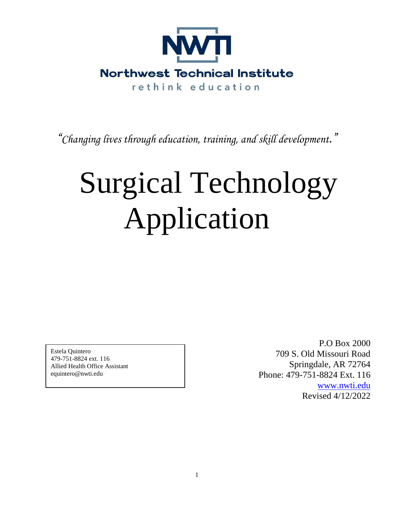

*"Changing lives through education, training, and skill development."*

# Surgical Technology Application

Estela Quintero 479-751-8824 ext. 116 Allied Health Office Assistant equintero@nwti.edu

P.O Box 2000 709 S. Old Missouri Road Springdale, AR 72764 Phone: 479-751-8824 Ext. 116 [www.nwti.edu](http://www.nwti.edu/) Revised 4/12/2022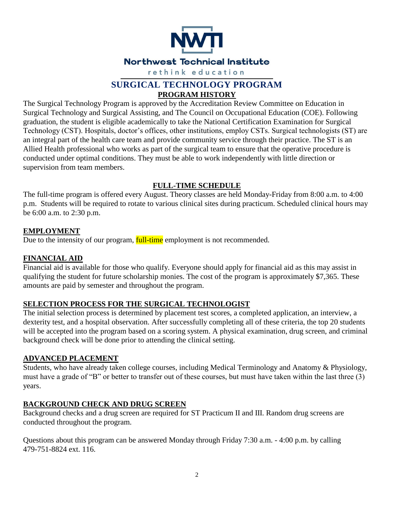

# **SURGICAL TECHNOLOGY PROGRAM PROGRAM HISTORY**

The Surgical Technology Program is approved by the Accreditation Review Committee on Education in Surgical Technology and Surgical Assisting, and The Council on Occupational Education (COE). Following graduation, the student is eligible academically to take the National Certification Examination for Surgical Technology (CST). Hospitals, doctor's offices, other institutions, employ CSTs. Surgical technologists (ST) are an integral part of the health care team and provide community service through their practice. The ST is an Allied Health professional who works as part of the surgical team to ensure that the operative procedure is conducted under optimal conditions. They must be able to work independently with little direction or supervision from team members.

# **FULL-TIME SCHEDULE**

The full-time program is offered every August. Theory classes are held Monday-Friday from 8:00 a.m. to 4:00 p.m. Students will be required to rotate to various clinical sites during practicum. Scheduled clinical hours may be 6:00 a.m. to 2:30 p.m.

# **EMPLOYMENT**

Due to the intensity of our program, **full-time** employment is not recommended.

# **FINANCIAL AID**

Financial aid is available for those who qualify. Everyone should apply for financial aid as this may assist in qualifying the student for future scholarship monies. The cost of the program is approximately \$7,365. These amounts are paid by semester and throughout the program.

# **SELECTION PROCESS FOR THE SURGICAL TECHNOLOGIST**

The initial selection process is determined by placement test scores, a completed application, an interview, a dexterity test, and a hospital observation. After successfully completing all of these criteria, the top 20 students will be accepted into the program based on a scoring system. A physical examination, drug screen, and criminal background check will be done prior to attending the clinical setting.

# **ADVANCED PLACEMENT**

Students, who have already taken college courses, including Medical Terminology and Anatomy & Physiology, must have a grade of "B" or better to transfer out of these courses, but must have taken within the last three (3) years.

# **BACKGROUND CHECK AND DRUG SCREEN**

Background checks and a drug screen are required for ST Practicum II and III. Random drug screens are conducted throughout the program.

Questions about this program can be answered Monday through Friday 7:30 a.m. - 4:00 p.m. by calling 479-751-8824 ext. 116.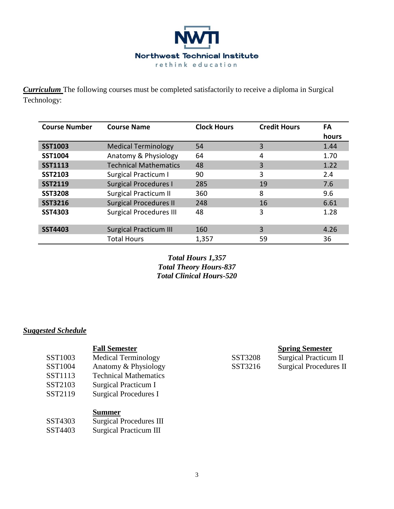

*Curriculum* The following courses must be completed satisfactorily to receive a diploma in Surgical Technology:

| <b>Course Number</b> | <b>Course Name</b>             | <b>Clock Hours</b> | <b>Credit Hours</b> | FA<br>hours |
|----------------------|--------------------------------|--------------------|---------------------|-------------|
| <b>SST1003</b>       | <b>Medical Terminology</b>     | 54                 | 3                   | 1.44        |
| <b>SST1004</b>       | Anatomy & Physiology           | 64                 | 4                   | 1.70        |
| <b>SST1113</b>       | <b>Technical Mathematics</b>   | 48                 | 3                   | 1.22        |
| <b>SST2103</b>       | <b>Surgical Practicum I</b>    | 90                 | 3                   | 2.4         |
| <b>SST2119</b>       | <b>Surgical Procedures I</b>   | 285                | 19                  | 7.6         |
| <b>SST3208</b>       | <b>Surgical Practicum II</b>   | 360                | 8                   | 9.6         |
| <b>SST3216</b>       | <b>Surgical Procedures II</b>  | 248                | 16                  | 6.61        |
| <b>SST4303</b>       | <b>Surgical Procedures III</b> | 48                 | 3                   | 1.28        |
| <b>SST4403</b>       | <b>Surgical Practicum III</b>  | 160                | 3                   | 4.26        |
|                      | <b>Total Hours</b>             | 1,357              | 59                  | 36          |

*Total Hours 1,357 Total Theory Hours-837 Total Clinical Hours-520*

# *Suggested Schedule*

|         | <b>Fall Semester</b>         |         | <b>Spring Semester</b>       |
|---------|------------------------------|---------|------------------------------|
| SST1003 | <b>Medical Terminology</b>   | SST3208 | <b>Surgical Practicum II</b> |
| SST1004 | Anatomy & Physiology         | SST3216 | Surgical Procedures II       |
| SST1113 | <b>Technical Mathematics</b> |         |                              |
| SST2103 | Surgical Practicum I         |         |                              |
| SST2119 | <b>Surgical Procedures I</b> |         |                              |
|         |                              |         |                              |

## **Summer**

| SST4303 | <b>Surgical Procedures III</b> |
|---------|--------------------------------|
| SST4403 | Surgical Practicum III         |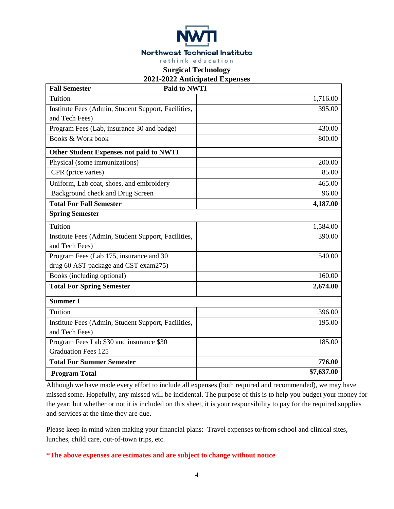

## **Surgical Technology**

## **2021-2022 Anticipated Expenses**

| <b>Fall Semester</b><br><b>Paid to NWTI</b>         |            |
|-----------------------------------------------------|------------|
| Tuition                                             | 1,716.00   |
| Institute Fees (Admin, Student Support, Facilities, | 395.00     |
| and Tech Fees)                                      |            |
| Program Fees (Lab, insurance 30 and badge)          | 430.00     |
| Books & Work book                                   | 800.00     |
| <b>Other Student Expenses not paid to NWTI</b>      |            |
| Physical (some immunizations)                       | 200.00     |
| CPR (price varies)                                  | 85.00      |
| Uniform, Lab coat, shoes, and embroidery            | 465.00     |
| Background check and Drug Screen                    | 96.00      |
| <b>Total For Fall Semester</b>                      | 4,187.00   |
| <b>Spring Semester</b>                              |            |
| Tuition                                             | 1,584.00   |
| Institute Fees (Admin, Student Support, Facilities, | 390.00     |
| and Tech Fees)                                      |            |
| Program Fees (Lab 175, insurance and 30             | 540.00     |
| drug 60 AST package and CST exam275)                |            |
| Books (including optional)                          | 160.00     |
| <b>Total For Spring Semester</b>                    | 2,674.00   |
| <b>Summer I</b>                                     |            |
| Tuition                                             | 396.00     |
| Institute Fees (Admin, Student Support, Facilities, | 195.00     |
| and Tech Fees)                                      |            |
| Program Fees Lab \$30 and insurance \$30            | 185.00     |
| <b>Graduation Fees 125</b>                          |            |
| <b>Total For Summer Semester</b>                    | 776.00     |
| <b>Program Total</b>                                | \$7,637.00 |

Although we have made every effort to include all expenses (both required and recommended), we may have missed some. Hopefully, any missed will be incidental. The purpose of this is to help you budget your money for the year; but whether or not it is included on this sheet, it is your responsibility to pay for the required supplies and services at the time they are due.

Please keep in mind when making your financial plans: Travel expenses to/from school and clinical sites, lunches, child care, out-of-town trips, etc.

## **\*The above expenses are estimates and are subject to change without notice**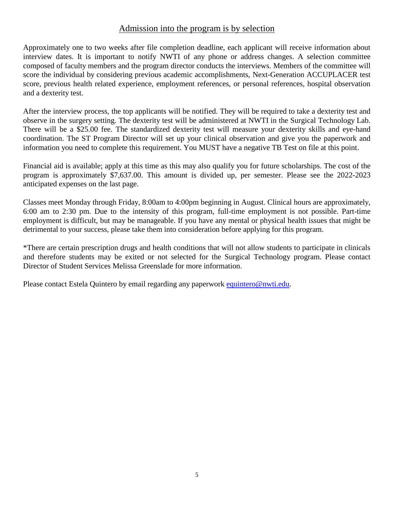# Admission into the program is by selection

Approximately one to two weeks after file completion deadline, each applicant will receive information about interview dates. It is important to notify NWTI of any phone or address changes. A selection committee composed of faculty members and the program director conducts the interviews. Members of the committee will score the individual by considering previous academic accomplishments, Next-Generation ACCUPLACER test score, previous health related experience, employment references, or personal references, hospital observation and a dexterity test.

After the interview process, the top applicants will be notified. They will be required to take a dexterity test and observe in the surgery setting. The dexterity test will be administered at NWTI in the Surgical Technology Lab. There will be a \$25.00 fee. The standardized dexterity test will measure your dexterity skills and eye-hand coordination. The ST Program Director will set up your clinical observation and give you the paperwork and information you need to complete this requirement. You MUST have a negative TB Test on file at this point.

Financial aid is available; apply at this time as this may also qualify you for future scholarships. The cost of the program is approximately \$7,637.00. This amount is divided up, per semester. Please see the 2022-2023 anticipated expenses on the last page.

Classes meet Monday through Friday, 8:00am to 4:00pm beginning in August. Clinical hours are approximately, 6:00 am to 2:30 pm. Due to the intensity of this program, full-time employment is not possible. Part-time employment is difficult, but may be manageable. If you have any mental or physical health issues that might be detrimental to your success, please take them into consideration before applying for this program.

\*There are certain prescription drugs and health conditions that will not allow students to participate in clinicals and therefore students may be exited or not selected for the Surgical Technology program. Please contact Director of Student Services Melissa Greenslade for more information.

Please contact Estela Quintero by email regarding any paperwork [equintero@nwti.edu.](mailto:equintero@nwti.edu)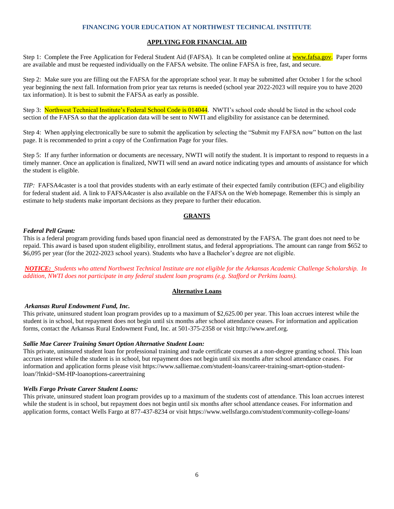### **FINANCING YOUR EDUCATION AT NORTHWEST TECHNICAL INSTITUTE**

## **APPLYING FOR FINANCIAL AID**

Step 1: Complete the Free Application for Federal Student Aid (FAFSA). It can be completed online at **www.fafsa.gov.** Paper forms are available and must be requested individually on the FAFSA website. The online FAFSA is free, fast, and secure.

Step 2: Make sure you are filling out the FAFSA for the appropriate school year. It may be submitted after October 1 for the school year beginning the next fall. Information from prior year tax returns is needed (school year 2022-2023 will require you to have 2020 tax information). It is best to submit the FAFSA as early as possible.

Step 3: Northwest Technical Institute's Federal School Code is 014044. NWTI's school code should be listed in the school code section of the FAFSA so that the application data will be sent to NWTI and eligibility for assistance can be determined.

Step 4: When applying electronically be sure to submit the application by selecting the "Submit my FAFSA now" button on the last page. It is recommended to print a copy of the Confirmation Page for your files.

Step 5: If any further information or documents are necessary, NWTI will notify the student. It is important to respond to requests in a timely manner. Once an application is finalized, NWTI will send an award notice indicating types and amounts of assistance for which the student is eligible.

*TIP:* FAFSA4caster is a tool that provides students with an early estimate of their expected family contribution (EFC) and eligibility for federal student aid. A link to FAFSA4caster is also available on the FAFSA on the Web homepage. Remember this is simply an estimate to help students make important decisions as they prepare to further their education.

## **GRANTS**

### *Federal Pell Grant:*

This is a federal program providing funds based upon financial need as demonstrated by the FAFSA. The grant does not need to be repaid. This award is based upon student eligibility, enrollment status, and federal appropriations. The amount can range from \$652 to \$6,095 per year (for the 2022-2023 school years). Students who have a Bachelor's degree are not eligible.

*NOTICE: Students who attend Northwest Technical Institute are not eligible for the Arkansas Academic Challenge Scholarship. In addition, NWTI does not participate in any federal student loan programs (e.g. Stafford or Perkins loans).*

## **Alternative Loans**

#### *Arkansas Rural Endowment Fund, Inc.*

This private, uninsured student loan program provides up to a maximum of \$2,625.00 per year. This loan accrues interest while the student is in school, but repayment does not begin until six months after school attendance ceases. For information and application forms, contact the Arkansas Rural Endowment Fund, Inc. at 501-375-2358 or visit http://www.aref.org.

#### *Sallie Mae Career Training Smart Option Alternative Student Loan:*

This private, uninsured student loan for professional training and trade certificate courses at a non-degree granting school. This loan accrues interest while the student is in school, but repayment does not begin until six months after school attendance ceases. For information and application forms please visit https://www.salliemae.com/student-loans/career-training-smart-option-studentloan/?lnkid=SM-HP-loanoptions-careertraining

#### *Wells Fargo Private Career Student Loans:*

This private, uninsured student loan program provides up to a maximum of the students cost of attendance. This loan accrues interest while the student is in school, but repayment does not begin until six months after school attendance ceases. For information and application forms, contact Wells Fargo at 877-437-8234 or visit https://www.wellsfargo.com/student/community-college-loans/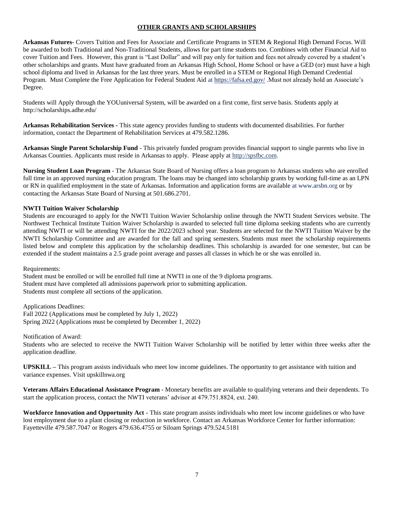## **OTHER GRANTS AND SCHOLARSHIPS**

**Arkansas Futures-** Covers Tuition and Fees for Associate and Certificate Programs in STEM & Regional High Demand Focus. Will be awarded to both Traditional and Non-Traditional Students, allows for part time students too. Combines with other Financial Aid to cover Tuition and Fees. However, this grant is "Last Dollar" and will pay only for tuition and fees not already covered by a student's other scholarships and grants. Must have graduated from an Arkansas High School, Home School or have a GED (or) must have a high school diploma and lived in Arkansas for the last three years. Must be enrolled in a STEM or Regional High Demand Credential Program. Must Complete the Free Application for Federal Student Aid at<https://fafsa.ed.gov/> .Must not already hold an Associate's Degree.

Students will Apply through the YOUuniversal System, will be awarded on a first come, first serve basis. Students apply at http://scholarships.adhe.edu/

**Arkansas Rehabilitation Services -** This state agency provides funding to students with documented disabilities. For further information, contact the Department of Rehabilitation Services at 479.582.1286.

**Arkansas Single Parent Scholarship Fund** - This privately funded program provides financial support to single parents who live in Arkansas Counties. Applicants must reside in Arkansas to apply. Please apply at [http://spsfbc.com.](http://spsfbc.com/)

**Nursing Student Loan Program** - The Arkansas State Board of Nursing offers a loan program to Arkansas students who are enrolled full time in an approved nursing education program. The loans may be changed into scholarship grants by working full-time as an LPN or RN in qualified employment in the state of Arkansas. Information and application forms are available at www.arsbn.org or by contacting the Arkansas State Board of Nursing at 501.686.2701.

## **NWTI Tuition Waiver Scholarship**

Students are encouraged to apply for the NWTI Tuition Wavier Scholarship online through the NWTI Student Services website. The Northwest Technical Institute Tuition Waiver Scholarship is awarded to selected full time diploma seeking students who are currently attending NWTI or will be attending NWTI for the 2022/2023 school year. Students are selected for the NWTI Tuition Waiver by the NWTI Scholarship Committee and are awarded for the fall and spring semesters. Students must meet the scholarship requirements listed below and complete this application by the scholarship deadlines. This scholarship is awarded for one semester, but can be extended if the student maintains a 2.5 grade point average and passes all classes in which he or she was enrolled in.

Requirements:

Student must be enrolled or will be enrolled full time at NWTI in one of the 9 diploma programs. Student must have completed all admissions paperwork prior to submitting application. Students must complete all sections of the application.

Applications Deadlines: Fall 2022 (Applications must be completed by July 1, 2022) Spring 2022 (Applications must be completed by December 1, 2022)

Notification of Award:

Students who are selected to receive the NWTI Tuition Waiver Scholarship will be notified by letter within three weeks after the application deadline.

**UPSKILL –** This program assists individuals who meet low income guidelines. The opportunity to get assistance with tuition and variance expenses. Visit upskillnwa.org

**Veterans Affairs Educational Assistance Program** - Monetary benefits are available to qualifying veterans and their dependents. To start the application process, contact the NWTI veterans' advisor at 479.751.8824, ext. 240.

**Workforce Innovation and Opportunity Act -** This state program assists individuals who meet low income guidelines or who have lost employment due to a plant closing or reduction in workforce. Contact an Arkansas Workforce Center for further information: Fayetteville 479.587.7047 or Rogers 479.636.4755 or Siloam Springs 479.524.5181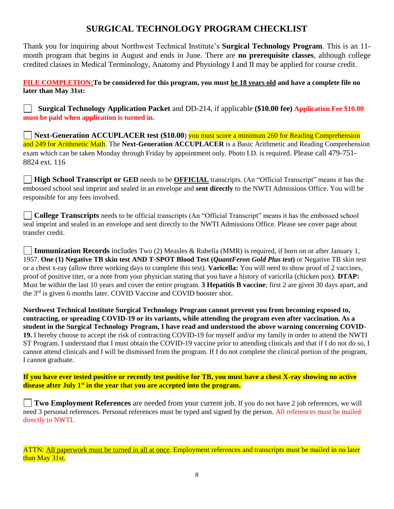# **SURGICAL TECHNOLOGY PROGRAM CHECKLIST**

Thank you for inquiring about Northwest Technical Institute's **Surgical Technology Program**. This is an 11 month program that begins in August and ends in June. There are **no prerequisite classes**, although college credited classes in Medical Terminology, Anatomy and Physiology I and II may be applied for course credit.

# **FILE COMPLETION:To be considered for this program, you must be 18 years old and have a complete file no later than May 31st:**

 **Surgical Technology Application Packet** and DD-214, if applicable **(\$10.00 fee) Application Fee \$10.00 must be paid when application is turned in.**

**Next-Generation ACCUPLACER test** (\$10.00) you must score a minimum 260 for Reading Comprehension and 249 for Arithmetic Math. The **Next-Generation ACCUPLACER** is a Basic Arithmetic and Reading Comprehension exam which can be taken Monday through Friday by appointment only. Photo I.D. is required. Please call 479-751- 8824 ext. 116

**High School Transcript or GED** needs to be **OFFICIAL** transcripts. (An "Official Transcript" means it has the embossed school seal imprint and sealed in an envelope and **sent directly** to the NWTI Admissions Office. You will be responsible for any fees involved.

**College Transcripts** needs to be official transcripts (An "Official Transcript" means it has the embossed school seal imprint and sealed in an envelope and sent directly to the NWTI Admissions Office. Please see cover page about transfer credit.

**Immunization Records** includes Two (2) Measles & Rubella (MMR) is required, if born on or after January 1, 1957. **One (1) Negative TB skin test AND T-SPOT Blood Test (***QuantFeron Gold Plus test***)** or Negative TB skin test or a chest x-ray (allow three working days to complete this test). **Varicella:** You will need to show proof of 2 vaccines, proof of positive titer, or a note from your physician stating that you have a history of varicella (chicken pox). **DTAP:** Must be within the last 10 years and cover the entire program. **3 Hepatitis B vaccine**; first 2 are given 30 days apart, and the 3rd is given 6 months later. COVID Vaccine and COVID booster shot.

**Northwest Technical Institute Surgical Technology Program cannot prevent you from becoming exposed to, contracting, or spreading COVID-19 or its variants, while attending the program even after vaccination. As a student in the Surgical Technology Program, I have read and understood the above warning concerning COVID-19.** I hereby choose to accept the risk of contracting COVID-19 for myself and/or my family in order to attend the NWTI ST Program. I understand that I must obtain the COVID-19 vaccine prior to attending clinicals and that if I do not do so, I cannot attend clinicals and I will be dismissed from the program. If I do not complete the clinical portion of the program, I cannot graduate.

**If you have ever tested positive or recently test positive for TB, you must have a chest X-ray showing no active disease after July 1st in the year that you are accepted into the program.**

**Two Employment References** are needed from your current job. If you do not have 2 job references, we will need 3 personal references. Personal references must be typed and signed by the person. All references must be mailed directly to NWTI.

ATTN: All paperwork must be turned in all at once. Employment references and transcripts must be mailed in no later than May 31st.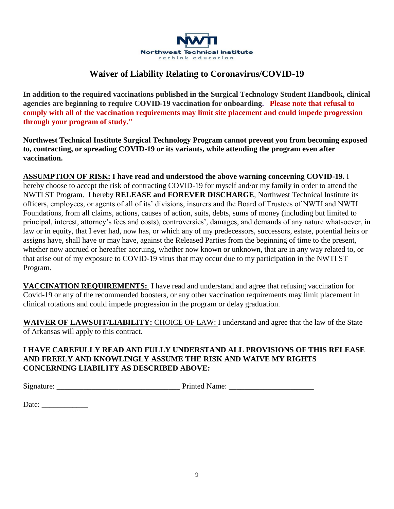

# **Waiver of Liability Relating to Coronavirus/COVID-19**

**In addition to the required vaccinations published in the Surgical Technology Student Handbook, clinical agencies are beginning to require COVID-19 vaccination for onboarding. Please note that refusal to comply with all of the vaccination requirements may limit site placement and could impede progression through your program of study."**

**Northwest Technical Institute Surgical Technology Program cannot prevent you from becoming exposed to, contracting, or spreading COVID-19 or its variants, while attending the program even after vaccination.**

**ASSUMPTION OF RISK: I have read and understood the above warning concerning COVID-19.** I hereby choose to accept the risk of contracting COVID-19 for myself and/or my family in order to attend the NWTI ST Program. I hereby **RELEASE and FOREVER DISCHARGE**, Northwest Technical Institute its officers, employees, or agents of all of its' divisions, insurers and the Board of Trustees of NWTI and NWTI Foundations, from all claims, actions, causes of action, suits, debts, sums of money (including but limited to principal, interest, attorney's fees and costs), controversies', damages, and demands of any nature whatsoever, in law or in equity, that I ever had, now has, or which any of my predecessors, successors, estate, potential heirs or assigns have, shall have or may have, against the Released Parties from the beginning of time to the present, whether now accrued or hereafter accruing, whether now known or unknown, that are in any way related to, or that arise out of my exposure to COVID-19 virus that may occur due to my participation in the NWTI ST Program.

**VACCINATION REQUIREMENTS:** I have read and understand and agree that refusing vaccination for Covid-19 or any of the recommended boosters, or any other vaccination requirements may limit placement in clinical rotations and could impede progression in the program or delay graduation.

**WAIVER OF LAWSUIT/LIABILITY:** CHOICE OF LAW: I understand and agree that the law of the State of Arkansas will apply to this contract.

# **I HAVE CAREFULLY READ AND FULLY UNDERSTAND ALL PROVISIONS OF THIS RELEASE AND FREELY AND KNOWLINGLY ASSUME THE RISK AND WAIVE MY RIGHTS CONCERNING LIABILITY AS DESCRIBED ABOVE:**

Signature: \_\_\_\_\_\_\_\_\_\_\_\_\_\_\_\_\_\_\_\_\_\_\_\_\_\_\_\_\_\_\_\_ Printed Name: \_\_\_\_\_\_\_\_\_\_\_\_\_\_\_\_\_\_\_\_\_\_

Date: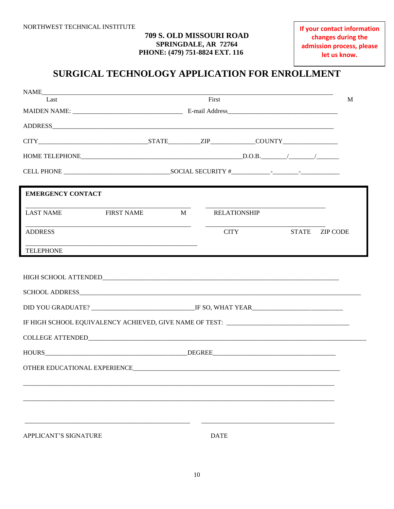## 709 S. OLD MISSOURI ROAD SPRINGDALE, AR 72764 PHONE: (479) 751-8824 EXT. 116

# SURGICAL TECHNOLOGY APPLICATION FOR ENROLLMENT

| NAME                                                                                                           |       |                     |              |                 |
|----------------------------------------------------------------------------------------------------------------|-------|---------------------|--------------|-----------------|
| Last                                                                                                           | First |                     | M            |                 |
|                                                                                                                |       |                     |              |                 |
|                                                                                                                |       |                     |              |                 |
|                                                                                                                |       |                     |              |                 |
|                                                                                                                |       |                     |              |                 |
|                                                                                                                |       |                     |              |                 |
| <b>EMERGENCY CONTACT</b>                                                                                       |       |                     |              |                 |
| <b>LAST NAME</b><br><b>FIRST NAME</b>                                                                          | M     | <b>RELATIONSHIP</b> |              |                 |
| <b>ADDRESS</b>                                                                                                 |       | <b>CITY</b>         | <b>STATE</b> | <b>ZIP CODE</b> |
| <b>TELEPHONE</b>                                                                                               |       |                     |              |                 |
|                                                                                                                |       |                     |              |                 |
| HIGH SCHOOL ATTENDED AND A STATE AND A STATE AND A STATE AND A STATE AND A STATE AND A STATE AND A STATE AND A |       |                     |              |                 |
|                                                                                                                |       |                     |              |                 |
|                                                                                                                |       |                     |              |                 |
| IF HIGH SCHOOL EQUIVALENCY ACHIEVED, GIVE NAME OF TEST: _________________________                              |       |                     |              |                 |
|                                                                                                                |       |                     |              |                 |
|                                                                                                                |       |                     |              |                 |
|                                                                                                                |       |                     |              |                 |
|                                                                                                                |       |                     |              |                 |
|                                                                                                                |       |                     |              |                 |
|                                                                                                                |       |                     |              |                 |
| APPLICANT'S SIGNATURE                                                                                          |       | <b>DATE</b>         |              |                 |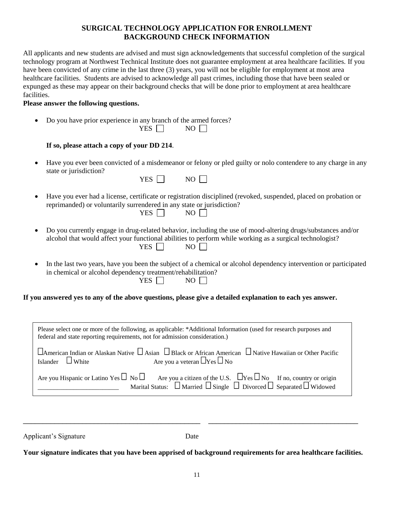# **SURGICAL TECHNOLOGY APPLICATION FOR ENROLLMENT BACKGROUND CHECK INFORMATION**

All applicants and new students are advised and must sign acknowledgements that successful completion of the surgical technology program at Northwest Technical Institute does not guarantee employment at area healthcare facilities. If you have been convicted of any crime in the last three (3) years, you will not be eligible for employment at most area healthcare facilities. Students are advised to acknowledge all past crimes, including those that have been sealed or expunged as these may appear on their background checks that will be done prior to employment at area healthcare facilities.

## **Please answer the following questions.**

• Do you have prior experience in any branch of the armed forces?

| $\mathbf{v}$<br>.<br>™. ™ |  | N١ |
|---------------------------|--|----|
|---------------------------|--|----|

# **If so, please attach a copy of your DD 214**.

• Have you ever been convicted of a misdemeanor or felony or pled guilty or nolo contendere to any charge in any state or jurisdiction?

| $NO$ $\Box$<br>YES $\Box$ |  |  |
|---------------------------|--|--|
|---------------------------|--|--|

- Have you ever had a license, certificate or registration disciplined (revoked, suspended, placed on probation or reprimanded) or voluntarily surrendered in any state or jurisdiction?  $YES \Box$  NO  $\Box$
- Do you currently engage in drug-related behavior, including the use of mood-altering drugs/substances and/or alcohol that would affect your functional abilities to perform while working as a surgical technologist?  $YES \Box$  NO  $\Box$
- In the last two years, have you been the subject of a chemical or alcohol dependency intervention or participated in chemical or alcohol dependency treatment/rehabilitation?  $YES \Box$  NO  $\Box$

## **If you answered yes to any of the above questions, please give a detailed explanation to each yes answer.**

| Please select one or more of the following, as applicable: *Additional Information (used for research purposes and<br>federal and state reporting requirements, not for admission consideration.)                        |  |  |
|--------------------------------------------------------------------------------------------------------------------------------------------------------------------------------------------------------------------------|--|--|
| $\Box$ American Indian or Alaskan Native $\Box$ Asian $\Box$ Black or African American $\Box$ Native Hawaiian or Other Pacific<br>Are you a veteran $\Box$ Yes $\Box$ No<br>Islander $\Box$ White                        |  |  |
| Are you Hispanic or Latino Yes $\Box$ No $\Box$ Are you a citizen of the U.S. $\Box$ Yes $\Box$ No If no, country or origin Marital Status: $\Box$ Married $\Box$ Single $\Box$ Divorced $\Box$ Separated $\Box$ Widowed |  |  |

| Applicant's Signature | Date |
|-----------------------|------|
|                       |      |

\_\_\_\_\_\_\_\_\_\_\_\_\_\_\_\_\_\_\_\_\_\_\_\_\_\_\_\_\_\_\_\_\_\_\_\_\_\_\_\_\_\_\_\_\_ \_\_\_\_\_\_\_\_\_\_\_\_\_\_\_\_\_\_\_\_\_\_\_\_\_\_\_\_\_\_\_\_\_\_\_\_\_\_

**Your signature indicates that you have been apprised of background requirements for area healthcare facilities.**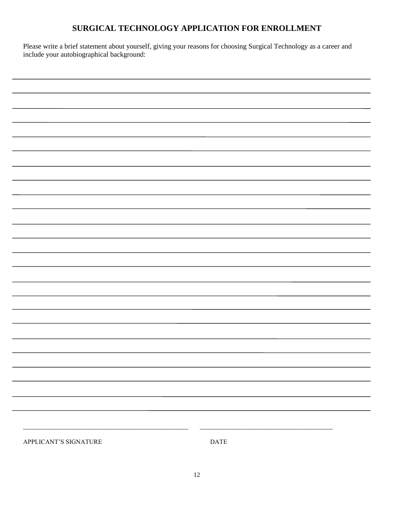# **SURGICAL TECHNOLOGY APPLICATION FOR ENROLLMENT**

Please write a brief statement about yourself, giving your reasons for choosing Surgical Technology as a career and include your autobiographical background:

| APPLICANT'S SIGNATURE | $\mathop{\mathsf{DATE}}$ |
|-----------------------|--------------------------|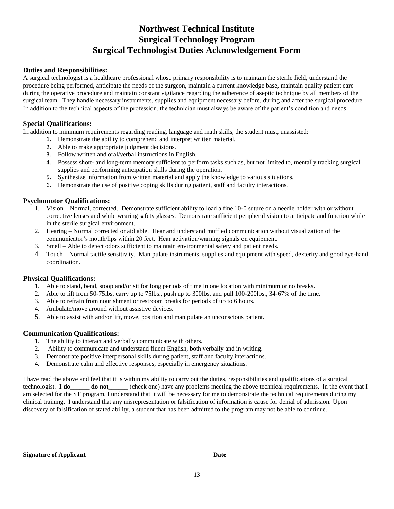# **Northwest Technical Institute Surgical Technology Program Surgical Technologist Duties Acknowledgement Form**

## **Duties and Responsibilities:**

A surgical technologist is a healthcare professional whose primary responsibility is to maintain the sterile field, understand the procedure being performed, anticipate the needs of the surgeon, maintain a current knowledge base, maintain quality patient care during the operative procedure and maintain constant vigilance regarding the adherence of aseptic technique by all members of the surgical team. They handle necessary instruments, supplies and equipment necessary before, during and after the surgical procedure. In addition to the technical aspects of the profession, the technician must always be aware of the patient's condition and needs.

## **Special Qualifications:**

In addition to minimum requirements regarding reading, language and math skills, the student must, unassisted:

- 1. Demonstrate the ability to comprehend and interpret written material.
- 2. Able to make appropriate judgment decisions.
- 3. Follow written and oral/verbal instructions in English.
- 4. Possess short- and long-term memory sufficient to perform tasks such as, but not limited to, mentally tracking surgical supplies and performing anticipation skills during the operation.
- 5. Synthesize information from written material and apply the knowledge to various situations.
- 6. Demonstrate the use of positive coping skills during patient, staff and faculty interactions.

## **Psychomotor Qualifications:**

- 1. Vision Normal, corrected. Demonstrate sufficient ability to load a fine 10-0 suture on a needle holder with or without corrective lenses and while wearing safety glasses. Demonstrate sufficient peripheral vision to anticipate and function while in the sterile surgical environment.
- 2. Hearing Normal corrected or aid able. Hear and understand muffled communication without visualization of the communicator's mouth/lips within 20 feet. Hear activation/warning signals on equipment.
- 3. Smell Able to detect odors sufficient to maintain environmental safety and patient needs.
- 4. Touch Normal tactile sensitivity. Manipulate instruments, supplies and equipment with speed, dexterity and good eye-hand coordination.

## **Physical Qualifications:**

- 1. Able to stand, bend, stoop and/or sit for long periods of time in one location with minimum or no breaks.
- 2. Able to lift from 50-75lbs, carry up to 75lbs., push up to 300lbs. and pull 100-200lbs., 34-67% of the time.
- 3. Able to refrain from nourishment or restroom breaks for periods of up to 6 hours.
- 4. Ambulate/move around without assistive devices.
- 5. Able to assist with and/or lift, move, position and manipulate an unconscious patient.

## **Communication Qualifications:**

- 1. The ability to interact and verbally communicate with others.
- 2. Ability to communicate and understand fluent English, both verbally and in writing.
- 3. Demonstrate positive interpersonal skills during patient, staff and faculty interactions.

\_\_\_\_\_\_\_\_\_\_\_\_\_\_\_\_\_\_\_\_\_\_\_\_\_\_\_\_\_\_\_\_\_\_\_\_\_\_\_\_\_\_\_\_\_ \_\_\_\_\_\_\_\_\_\_\_\_\_\_\_\_\_\_\_\_\_\_\_\_\_\_\_\_\_\_\_\_\_\_\_\_\_\_\_

4. Demonstrate calm and effective responses, especially in emergency situations.

I have read the above and feel that it is within my ability to carry out the duties, responsibilities and qualifications of a surgical technologist. **I do\_\_\_\_\_\_ do not\_\_\_\_\_\_** (check one) have any problems meeting the above technical requirements. In the event that I am selected for the ST program, I understand that it will be necessary for me to demonstrate the technical requirements during my clinical training. I understand that any misrepresentation or falsification of information is cause for denial of admission. Upon discovery of falsification of stated ability, a student that has been admitted to the program may not be able to continue.

**Signature of Applicant Date**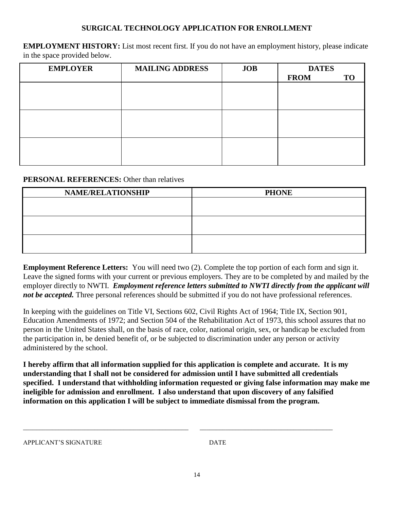# **SURGICAL TECHNOLOGY APPLICATION FOR ENROLLMENT**

**EMPLOYMENT HISTORY:** List most recent first. If you do not have an employment history, please indicate in the space provided below.

| <b>EMPLOYER</b> | <b>MAILING ADDRESS</b> | <b>JOB</b> | <b>DATES</b> |    |
|-----------------|------------------------|------------|--------------|----|
|                 |                        |            | <b>FROM</b>  | TO |
|                 |                        |            |              |    |
|                 |                        |            |              |    |
|                 |                        |            |              |    |
|                 |                        |            |              |    |
|                 |                        |            |              |    |
|                 |                        |            |              |    |
|                 |                        |            |              |    |
|                 |                        |            |              |    |
|                 |                        |            |              |    |

# **PERSONAL REFERENCES:** Other than relatives

| <b>NAME/RELATIONSHIP</b> | <b>PHONE</b> |
|--------------------------|--------------|
|                          |              |
|                          |              |
|                          |              |
|                          |              |
|                          |              |
|                          |              |

**Employment Reference Letters:** You will need two (2). Complete the top portion of each form and sign it. Leave the signed forms with your current or previous employers. They are to be completed by and mailed by the employer directly to NWTI. *Employment reference letters submitted to NWTI directly from the applicant will not be accepted.* Three personal references should be submitted if you do not have professional references.

In keeping with the guidelines on Title VI, Sections 602, Civil Rights Act of 1964; Title IX, Section 901, Education Amendments of 1972; and Section 504 of the Rehabilitation Act of 1973, this school assures that no person in the United States shall, on the basis of race, color, national origin, sex, or handicap be excluded from the participation in, be denied benefit of, or be subjected to discrimination under any person or activity administered by the school.

**I hereby affirm that all information supplied for this application is complete and accurate. It is my understanding that I shall not be considered for admission until I have submitted all credentials specified. I understand that withholding information requested or giving false information may make me ineligible for admission and enrollment. I also understand that upon discovery of any falsified information on this application I will be subject to immediate dismissal from the program.**

\_\_\_\_\_\_\_\_\_\_\_\_\_\_\_\_\_\_\_\_\_\_\_\_\_\_\_\_\_\_\_\_\_\_\_\_\_\_\_\_\_\_\_\_\_\_\_\_\_\_\_ \_\_\_\_\_\_\_\_\_\_\_\_\_\_\_\_\_\_\_\_\_\_\_\_\_\_\_\_\_\_\_\_\_\_\_\_\_\_\_\_\_

APPLICANT'S SIGNATURE DATE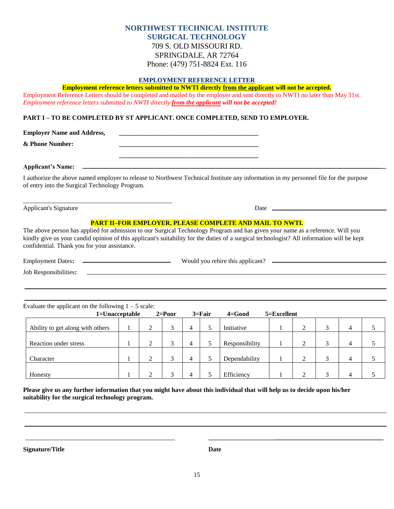# **NORTHWEST TECHNICAL INSTITUTE SURGICAL TECHNOLOGY** 709 S. OLD MISSOURI RD. SPRINGDALE, AR 72764 Phone: (479) 751-8824 Ext. 116

## **EMPLOYMENT REFERENCE LETTER**

## **Employment reference letters submitted to NWTI directly from the applicant will not be accepted.**

Employment Reference Letters should be completed and mailed by the employer and sent directly to NWTI no later than May 31st. *Employment reference letters submitted to NWTI directly from the applicant will not be accepted!*

### **PART I – TO BE COMPLETED BY ST APPLICANT. ONCE COMPLETED, SEND TO EMPLOYER.**

**Employer Name and Address,** 

\_\_\_\_\_\_\_\_\_\_\_\_\_\_\_\_\_\_\_\_\_\_\_\_\_\_\_\_\_\_\_\_\_\_\_\_\_\_\_\_\_\_\_\_\_\_

 $\&$  Phone Number:

**Applicant's Name:**

I authorize the above named employer to release to Northwest Technical Institute any information in my personnel file for the purpose of entry into the Surgical Technology Program.

 **\_\_\_\_\_\_\_\_\_\_\_\_\_\_\_\_\_\_\_\_\_\_\_\_\_\_\_\_\_\_\_\_\_\_\_\_\_\_\_\_\_\_\_**

Applicant's Signature Date

## **PART II–FOR EMPLOYER. PLEASE COMPLETE AND MAIL TO NWTI.**

The above person has applied for admission to our Surgical Technology Program and has given your name as a reference. Will you kindly give us your candid opinion of this applicant's suitability for the duties of a surgical technologist? All information will be kept confidential. Thank you for your assistance.

| <b>Employment Dates:</b> | Would you rehire this applicant? |  |
|--------------------------|----------------------------------|--|
| Job Responsibilities:    |                                  |  |

| Evaluate the applicant on the following $1 - 5$ scale: |   |            |                |            |                |                 |        |                         |                |  |
|--------------------------------------------------------|---|------------|----------------|------------|----------------|-----------------|--------|-------------------------|----------------|--|
| 1=Unacceptable                                         |   | $2 = Poor$ |                | $3 = Fair$ | $4 = Good$     | $5 =$ Excellent |        |                         |                |  |
| Ability to get along with others                       | ∠ |            | 4              |            | Initiative     |                 |        |                         | 4              |  |
| Reaction under stress                                  | 2 | 3          | 4              | 5          | Responsibility |                 | 2      | 2                       | $\overline{4}$ |  |
| Character                                              | 2 | 3          | 4              |            | Dependability  |                 | ↑<br>∠ | $\mathbf{\overline{3}}$ | 4              |  |
| Honesty                                                | ി |            | $\overline{4}$ |            | Efficiency     |                 | ◠      |                         | $\overline{4}$ |  |

**Please give us any further information that you might have about this individual that will help us to decide upon his/her suitability for the surgical technology program.**

**Signature/Title Date**